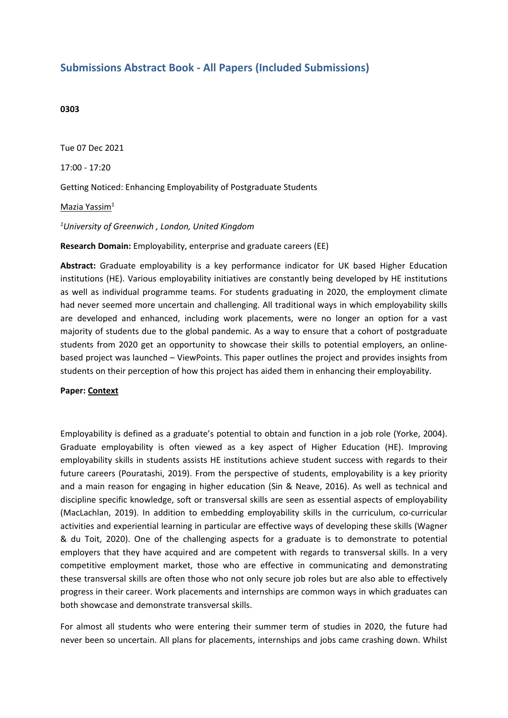# **Submissions Abstract Book - All Papers (Included Submissions)**

#### **0303**

Tue 07 Dec 2021 17:00 - 17:20 Getting Noticed: Enhancing Employability of Postgraduate Students Mazia Yassim<sup>1</sup> *1 University of Greenwich , London, United Kingdom*

#### **Research Domain:** Employability, enterprise and graduate careers (EE)

**Abstract:** Graduate employability is <sup>a</sup> key performance indicator for UK based Higher Education institutions (HE). Various employability initiatives are constantly being developed by HE institutions as well as individual programme teams. For students graduating in 2020, the employment climate had never seemed more uncertain and challenging. All traditional ways in which employability skills are developed and enhanced, including work placements, were no longer an option for <sup>a</sup> vast majority of students due to the global pandemic. As <sup>a</sup> way to ensure that <sup>a</sup> cohort of postgraduate students from 2020 get an opportunity to showcase their skills to potential employers, an onlinebased project was launched – ViewPoints. This paper outlines the project and provides insights from students on their perception of how this project has aided them in enhancing their employability.

#### **Paper: Context**

Employability is defined as <sup>a</sup> graduate's potential to obtain and function in <sup>a</sup> job role (Yorke, 2004). Graduate employability is often viewed as <sup>a</sup> key aspect of Higher Education (HE). Improving employability skills in students assists HE institutions achieve student success with regards to their future careers (Pouratashi, 2019). From the perspective of students, employability is <sup>a</sup> key priority and <sup>a</sup> main reason for engaging in higher education (Sin & Neave, 2016). As well as technical and discipline specific knowledge, soft or transversal skills are seen as essential aspects of employability (MacLachlan, 2019). In addition to embedding employability skills in the curriculum, co-curricular activities and experiential learning in particular are effective ways of developing these skills (Wagner & du Toit, 2020). One of the challenging aspects for <sup>a</sup> graduate is to demonstrate to potential employers that they have acquired and are competent with regards to transversal skills. In <sup>a</sup> very competitive employment market, those who are effective in communicating and demonstrating these transversal skills are often those who not only secure job roles but are also able to effectively progress in their career. Work placements and internships are common ways in which graduates can both showcase and demonstrate transversal skills.

For almost all students who were entering their summer term of studies in 2020, the future had never been so uncertain. All plans for placements, internships and jobs came crashing down. Whilst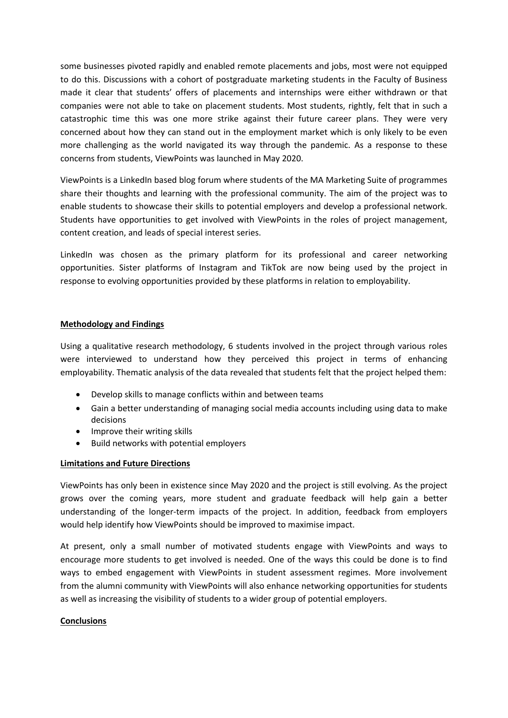some businesses pivoted rapidly and enabled remote placements and jobs, most were not equipped to do this. Discussions with <sup>a</sup> cohort of postgraduate marketing students in the Faculty of Business made it clear that students' offers of placements and internships were either withdrawn or that companies were not able to take on placement students. Most students, rightly, felt that in such <sup>a</sup> catastrophic time this was one more strike against their future career plans. They were very concerned about how they can stand out in the employment market which is only likely to be even more challenging as the world navigated its way through the pandemic. As <sup>a</sup> response to these concerns from students, ViewPoints was launched in May 2020.

ViewPoints is <sup>a</sup> LinkedIn based blog forum where students of the MA Marketing Suite of programmes share their thoughts and learning with the professional community. The aim of the project was to enable students to showcase their skills to potential employers and develop <sup>a</sup> professional network. Students have opportunities to get involved with ViewPoints in the roles of project management, content creation, and leads of special interest series.

LinkedIn was chosen as the primary platform for its professional and career networking opportunities. Sister platforms of Instagram and TikTok are now being used by the project in response to evolving opportunities provided by these platforms in relation to employability.

## **Methodology and Findings**

Using <sup>a</sup> qualitative research methodology, 6 students involved in the project through various roles were interviewed to understand how they perceived this project in terms of enhancing employability. Thematic analysis of the data revealed that students felt that the project helped them:

- Develop skills to manage conflicts within and between teams
- Gain <sup>a</sup> better understanding of managing social media accounts including using data to make decisions
- Improve their writing skills
- $\bullet$ Build networks with potential employers

## **Limitations and Future Directions**

ViewPoints has only been in existence since May 2020 and the project is still evolving. As the project grows over the coming years, more student and graduate feedback will help gain <sup>a</sup> better understanding of the longer-term impacts of the project. In addition, feedback from employers would help identify how ViewPoints should be improved to maximise impact.

At present, only <sup>a</sup> small number of motivated students engage with ViewPoints and ways to encourage more students to get involved is needed. One of the ways this could be done is to find ways to embed engagement with ViewPoints in student assessment regimes. More involvement from the alumni community with ViewPoints will also enhance networking opportunities for students as well as increasing the visibility of students to <sup>a</sup> wider group of potential employers.

## **Conclusions**